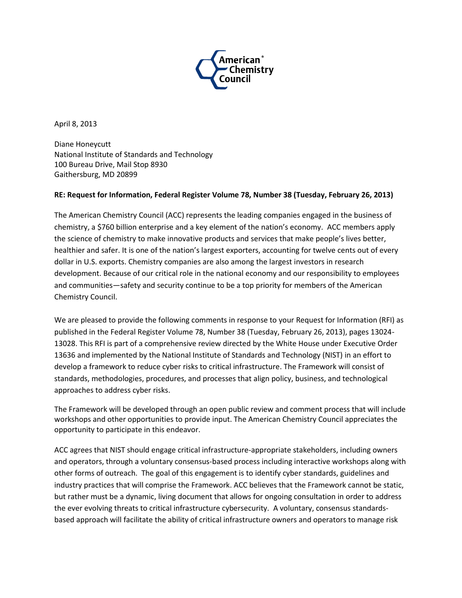

April 8, 2013

Diane Honeycutt National Institute of Standards and Technology 100 Bureau Drive, Mail Stop 8930 Gaithersburg, MD 20899

### **RE: Request for Information, Federal Register Volume 78, Number 38 (Tuesday, February 26, 2013)**

The American Chemistry Council (ACC) represents the leading companies engaged in the business of chemistry, a \$760 billion enterprise and a key element of the nation's economy. ACC members apply the science of chemistry to make innovative products and services that make people's lives better, healthier and safer. It is one of the nation's largest exporters, accounting for twelve cents out of every dollar in U.S. exports. Chemistry companies are also among the largest investors in research development. Because of our critical role in the national economy and our responsibility to employees and communities—safety and security continue to be a top priority for members of the American Chemistry Council.

We are pleased to provide the following comments in response to your Request for Information (RFI) as published in the Federal Register Volume 78, Number 38 (Tuesday, February 26, 2013), pages 13024- 13028. This RFI is part of a comprehensive review directed by the White House under Executive Order 13636 and implemented by the National Institute of Standards and Technology (NIST) in an effort to develop a framework to reduce cyber risks to critical infrastructure. The Framework will consist of standards, methodologies, procedures, and processes that align policy, business, and technological approaches to address cyber risks.

The Framework will be developed through an open public review and comment process that will include workshops and other opportunities to provide input. The American Chemistry Council appreciates the opportunity to participate in this endeavor.

ACC agrees that NIST should engage critical infrastructure-appropriate stakeholders, including owners and operators, through a voluntary consensus-based process including interactive workshops along with other forms of outreach. The goal of this engagement is to identify cyber standards, guidelines and industry practices that will comprise the Framework. ACC believes that the Framework cannot be static, but rather must be a dynamic, living document that allows for ongoing consultation in order to address the ever evolving threats to critical infrastructure cybersecurity. A voluntary, consensus standardsbased approach will facilitate the ability of critical infrastructure owners and operators to manage risk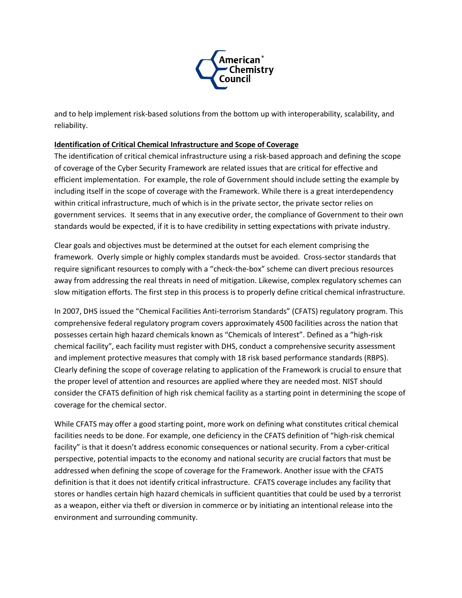

and to help implement risk-based solutions from the bottom up with interoperability, scalability, and reliability.

### **Identification of Critical Chemical Infrastructure and Scope of Coverage**

The identification of critical chemical infrastructure using a risk-based approach and defining the scope of coverage of the Cyber Security Framework are related issues that are critical for effective and efficient implementation. For example, the role of Government should include setting the example by including itself in the scope of coverage with the Framework. While there is a great interdependency within critical infrastructure, much of which is in the private sector, the private sector relies on government services. It seems that in any executive order, the compliance of Government to their own standards would be expected, if it is to have credibility in setting expectations with private industry.

Clear goals and objectives must be determined at the outset for each element comprising the framework. Overly simple or highly complex standards must be avoided. Cross-sector standards that require significant resources to comply with a "check-the-box" scheme can divert precious resources away from addressing the real threats in need of mitigation. Likewise, complex regulatory schemes can slow mitigation efforts. The first step in this process is to properly define critical chemical infrastructure.

In 2007, DHS issued the "Chemical Facilities Anti-terrorism Standards" (CFATS) regulatory program. This comprehensive federal regulatory program covers approximately 4500 facilities across the nation that possesses certain high hazard chemicals known as "Chemicals of Interest". Defined as a "high-risk chemical facility", each facility must register with DHS, conduct a comprehensive security assessment and implement protective measures that comply with 18 risk based performance standards (RBPS). Clearly defining the scope of coverage relating to application of the Framework is crucial to ensure that the proper level of attention and resources are applied where they are needed most. NIST should consider the CFATS definition of high risk chemical facility as a starting point in determining the scope of coverage for the chemical sector.

While CFATS may offer a good starting point, more work on defining what constitutes critical chemical facilities needs to be done. For example, one deficiency in the CFATS definition of "high-risk chemical facility" is that it doesn't address economic consequences or national security. From a cyber-critical perspective, potential impacts to the economy and national security are crucial factors that must be addressed when defining the scope of coverage for the Framework. Another issue with the CFATS definition is that it does not identify critical infrastructure. CFATS coverage includes any facility that stores or handles certain high hazard chemicals in sufficient quantities that could be used by a terrorist as a weapon, either via theft or diversion in commerce or by initiating an intentional release into the environment and surrounding community.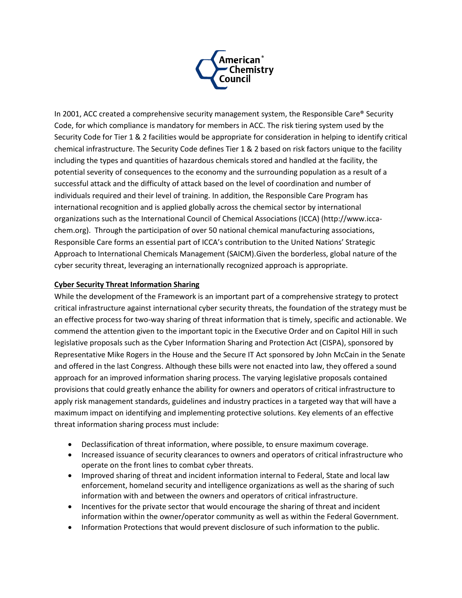

In 2001, ACC created a comprehensive security management system, the Responsible Care® Security Code, for which compliance is mandatory for members in ACC. The risk tiering system used by the Security Code for Tier 1 & 2 facilities would be appropriate for consideration in helping to identify critical chemical infrastructure. The Security Code defines Tier 1 & 2 based on risk factors unique to the facility including the types and quantities of hazardous chemicals stored and handled at the facility, the potential severity of consequences to the economy and the surrounding population as a result of a successful attack and the difficulty of attack based on the level of coordination and number of individuals required and their level of training. In addition, the Responsible Care Program has international recognition and is applied globally across the chemical sector by international organizations such as the International Council of Chemical Associations (ICCA) (http://www.iccachem.org). Through the participation of over 50 national chemical manufacturing associations, Responsible Care forms an essential part of ICCA's contribution to the United Nations' Strategic Approach to International Chemicals Management (SAICM).Given the borderless, global nature of the cyber security threat, leveraging an internationally recognized approach is appropriate.

# **Cyber Security Threat Information Sharing**

While the development of the Framework is an important part of a comprehensive strategy to protect critical infrastructure against international cyber security threats, the foundation of the strategy must be an effective process for two-way sharing of threat information that is timely, specific and actionable. We commend the attention given to the important topic in the Executive Order and on Capitol Hill in such legislative proposals such as the Cyber Information Sharing and Protection Act (CISPA), sponsored by Representative Mike Rogers in the House and the Secure IT Act sponsored by John McCain in the Senate and offered in the last Congress. Although these bills were not enacted into law, they offered a sound approach for an improved information sharing process. The varying legislative proposals contained provisions that could greatly enhance the ability for owners and operators of critical infrastructure to apply risk management standards, guidelines and industry practices in a targeted way that will have a maximum impact on identifying and implementing protective solutions. Key elements of an effective threat information sharing process must include:

- Declassification of threat information, where possible, to ensure maximum coverage.
- Increased issuance of security clearances to owners and operators of critical infrastructure who operate on the front lines to combat cyber threats.
- Improved sharing of threat and incident information internal to Federal, State and local law enforcement, homeland security and intelligence organizations as well as the sharing of such information with and between the owners and operators of critical infrastructure.
- Incentives for the private sector that would encourage the sharing of threat and incident information within the owner/operator community as well as within the Federal Government.
- Information Protections that would prevent disclosure of such information to the public.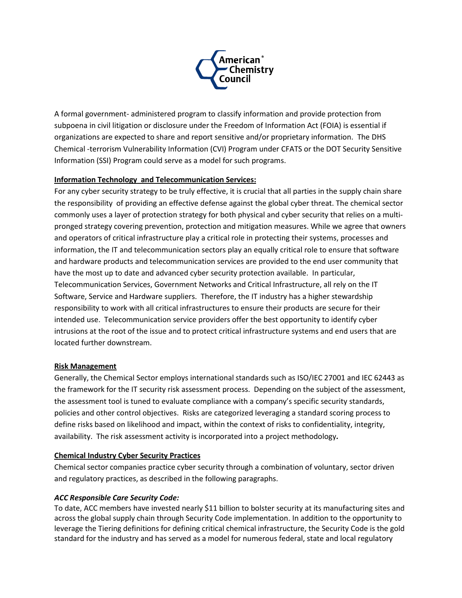

A formal government- administered program to classify information and provide protection from subpoena in civil litigation or disclosure under the Freedom of Information Act (FOIA) is essential if organizations are expected to share and report sensitive and/or proprietary information. The DHS Chemical -terrorism Vulnerability Information (CVI) Program under CFATS or the DOT Security Sensitive Information (SSI) Program could serve as a model for such programs.

### **Information Technology and Telecommunication Services:**

For any cyber security strategy to be truly effective, it is crucial that all parties in the supply chain share the responsibility of providing an effective defense against the global cyber threat. The chemical sector commonly uses a layer of protection strategy for both physical and cyber security that relies on a multipronged strategy covering prevention, protection and mitigation measures. While we agree that owners and operators of critical infrastructure play a critical role in protecting their systems, processes and information, the IT and telecommunication sectors play an equally critical role to ensure that software and hardware products and telecommunication services are provided to the end user community that have the most up to date and advanced cyber security protection available. In particular, Telecommunication Services, Government Networks and Critical Infrastructure, all rely on the IT Software, Service and Hardware suppliers. Therefore, the IT industry has a higher stewardship responsibility to work with all critical infrastructures to ensure their products are secure for their intended use. Telecommunication service providers offer the best opportunity to identify cyber intrusions at the root of the issue and to protect critical infrastructure systems and end users that are located further downstream.

#### **Risk Management**

Generally, the Chemical Sector employs international standards such as ISO/IEC 27001 and IEC 62443 as the framework for the IT security risk assessment process. Depending on the subject of the assessment, the assessment tool is tuned to evaluate compliance with a company's specific security standards, policies and other control objectives. Risks are categorized leveraging a standard scoring process to define risks based on likelihood and impact, within the context of risks to confidentiality, integrity, availability. The risk assessment activity is incorporated into a project methodology*.*

#### **Chemical Industry Cyber Security Practices**

Chemical sector companies practice cyber security through a combination of voluntary, sector driven and regulatory practices, as described in the following paragraphs.

#### *ACC Responsible Care Security Code:*

To date, ACC members have invested nearly \$11 billion to bolster security at its manufacturing sites and across the global supply chain through Security Code implementation. In addition to the opportunity to leverage the Tiering definitions for defining critical chemical infrastructure, the Security Code is the gold standard for the industry and has served as a model for numerous federal, state and local regulatory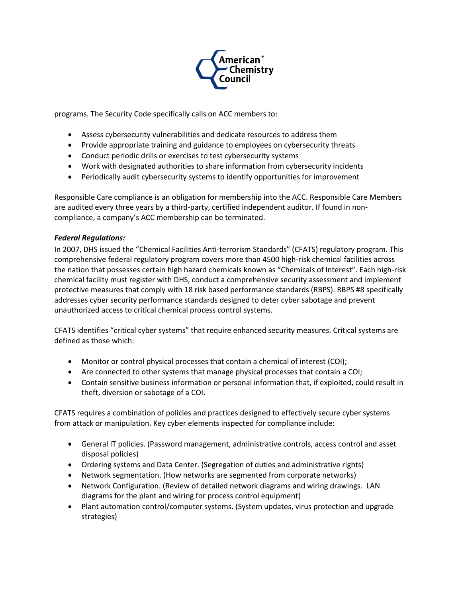

programs. The Security Code specifically calls on ACC members to:

- Assess cybersecurity vulnerabilities and dedicate resources to address them
- Provide appropriate training and guidance to employees on cybersecurity threats
- Conduct periodic drills or exercises to test cybersecurity systems
- Work with designated authorities to share information from cybersecurity incidents
- Periodically audit cybersecurity systems to identify opportunities for improvement

Responsible Care compliance is an obligation for membership into the ACC. Responsible Care Members are audited every three years by a third-party, certified independent auditor. If found in noncompliance, a company's ACC membership can be terminated.

### *Federal Regulations:*

In 2007, DHS issued the "Chemical Facilities Anti-terrorism Standards" (CFATS) regulatory program. This comprehensive federal regulatory program covers more than 4500 high-risk chemical facilities across the nation that possesses certain high hazard chemicals known as "Chemicals of Interest". Each high-risk chemical facility must register with DHS, conduct a comprehensive security assessment and implement protective measures that comply with 18 risk based performance standards (RBPS). RBPS #8 specifically addresses cyber security performance standards designed to deter cyber sabotage and prevent unauthorized access to critical chemical process control systems.

CFATS identifies "critical cyber systems" that require enhanced security measures. Critical systems are defined as those which:

- Monitor or control physical processes that contain a chemical of interest (COI);
- Are connected to other systems that manage physical processes that contain a COI;
- Contain sensitive business information or personal information that, if exploited, could result in theft, diversion or sabotage of a COI.

CFATS requires a combination of policies and practices designed to effectively secure cyber systems from attack or manipulation. Key cyber elements inspected for compliance include:

- General IT policies. (Password management, administrative controls, access control and asset disposal policies)
- Ordering systems and Data Center. (Segregation of duties and administrative rights)
- Network segmentation. (How networks are segmented from corporate networks)
- Network Configuration. (Review of detailed network diagrams and wiring drawings. LAN diagrams for the plant and wiring for process control equipment)
- Plant automation control/computer systems. (System updates, virus protection and upgrade strategies)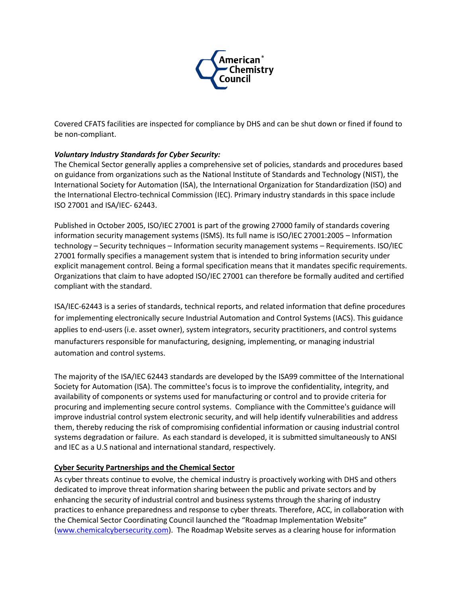

Covered CFATS facilities are inspected for compliance by DHS and can be shut down or fined if found to be non-compliant.

## *Voluntary Industry Standards for Cyber Security:*

The Chemical Sector generally applies a comprehensive set of policies, standards and procedures based on guidance from organizations such as the National Institute of Standards and Technology (NIST), the International Society for Automation (ISA), the International Organization for Standardization (ISO) and the International Electro-technical Commission (IEC). Primary industry standards in this space include ISO 27001 and ISA/IEC- 62443.

Published in October 2005, ISO/IEC 27001 is part of the growing 27000 family of standards covering information security management systems (ISMS). Its full name is ISO/IEC 27001:2005 – Information technology – Security techniques – Information security management systems – Requirements. ISO/IEC 27001 formally specifies a management system that is intended to bring information security under explicit management control. Being a formal specification means that it mandates specific requirements. Organizations that claim to have adopted ISO/IEC 27001 can therefore be formally audited and certified compliant with the standard.

ISA/IEC-62443 is a series of standards, technical reports, and related information that define procedures for implementing electronically secure Industrial Automation and Control Systems (IACS). This guidance applies to end-users (i.e. asset owner), system integrators, security practitioners, and control systems manufacturers responsible for manufacturing, designing, implementing, or managing industrial automation and control systems.

The majority of the ISA/IEC 62443 standards are developed by the ISA99 committee of the International Society for Automation (ISA). The committee's focus is to improve the confidentiality, integrity, and availability of components or systems used for manufacturing or control and to provide criteria for procuring and implementing secure control systems. Compliance with the Committee's guidance will improve industrial control system electronic security, and will help identify vulnerabilities and address them, thereby reducing the risk of compromising confidential information or causing industrial control systems degradation or failure. As each standard is developed, it is submitted simultaneously to ANSI and IEC as a U.S national and international standard, respectively.

#### **Cyber Security Partnerships and the Chemical Sector**

As cyber threats continue to evolve, the chemical industry is proactively working with DHS and others dedicated to improve threat information sharing between the public and private sectors and by enhancing the security of industrial control and business systems through the sharing of industry practices to enhance preparedness and response to cyber threats. Therefore, ACC, in collaboration with the Chemical Sector Coordinating Council launched the "Roadmap Implementation Website" [\(www.chemicalcybersecurity.com\)](http://www.chemicalcybersecurity.com/). The Roadmap Website serves as a clearing house for information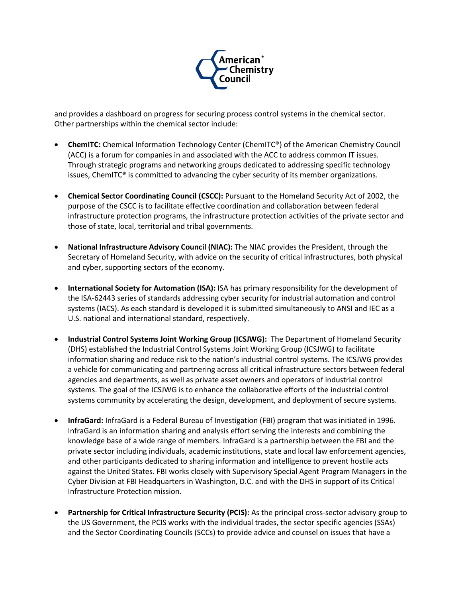

and provides a dashboard on progress for securing process control systems in the chemical sector. Other partnerships within the chemical sector include:

- **ChemITC:** Chemical Information Technology Center (ChemITC®) of the American Chemistry Council (ACC) is a forum for companies in and associated with the ACC to address common IT issues. Through strategic programs and networking groups dedicated to addressing specific technology issues, ChemITC® is committed to advancing the cyber security of its member organizations.
- **Chemical Sector Coordinating Council (CSCC):** Pursuant to the Homeland Security Act of 2002, the purpose of the CSCC is to facilitate effective coordination and collaboration between federal infrastructure protection programs, the infrastructure protection activities of the private sector and those of state, local, territorial and tribal governments.
- **National Infrastructure Advisory Council (NIAC):** The NIAC provides the President, through the Secretary of Homeland Security, with advice on the security of critical infrastructures, both physical and cyber, supporting sectors of the economy.
- **International Society for Automation (ISA):** ISA has primary responsibility for the development of the ISA-62443 series of standards addressing cyber security for industrial automation and control systems (IACS). As each standard is developed it is submitted simultaneously to ANSI and IEC as a U.S. national and international standard, respectively.
- **Industrial Control Systems Joint Working Group (ICSJWG):** The Department of Homeland Security (DHS) established the Industrial Control Systems Joint Working Group (ICSJWG) to facilitate information sharing and reduce risk to the nation's industrial control systems. The ICSJWG provides a vehicle for communicating and partnering across all critical infrastructure sectors between federal agencies and departments, as well as private asset owners and operators of industrial control systems. The goal of the ICSJWG is to enhance the collaborative efforts of the industrial control systems community by accelerating the design, development, and deployment of secure systems.
- **InfraGard:** InfraGard is a Federal Bureau of Investigation (FBI) program that was initiated in 1996. InfraGard is an information sharing and analysis effort serving the interests and combining the knowledge base of a wide range of members. InfraGard is a partnership between the FBI and the private sector including individuals, academic institutions, state and local law enforcement agencies, and other participants dedicated to sharing information and intelligence to prevent hostile acts against the United States. FBI works closely with Supervisory Special Agent Program Managers in the Cyber Division at FBI Headquarters in Washington, D.C. and with the DHS in support of its Critical Infrastructure Protection mission.
- **Partnership for Critical Infrastructure Security (PCIS):** As the principal cross-sector advisory group to the US Government, the PCIS works with the individual trades, the sector specific agencies (SSAs) and the Sector Coordinating Councils (SCCs) to provide advice and counsel on issues that have a